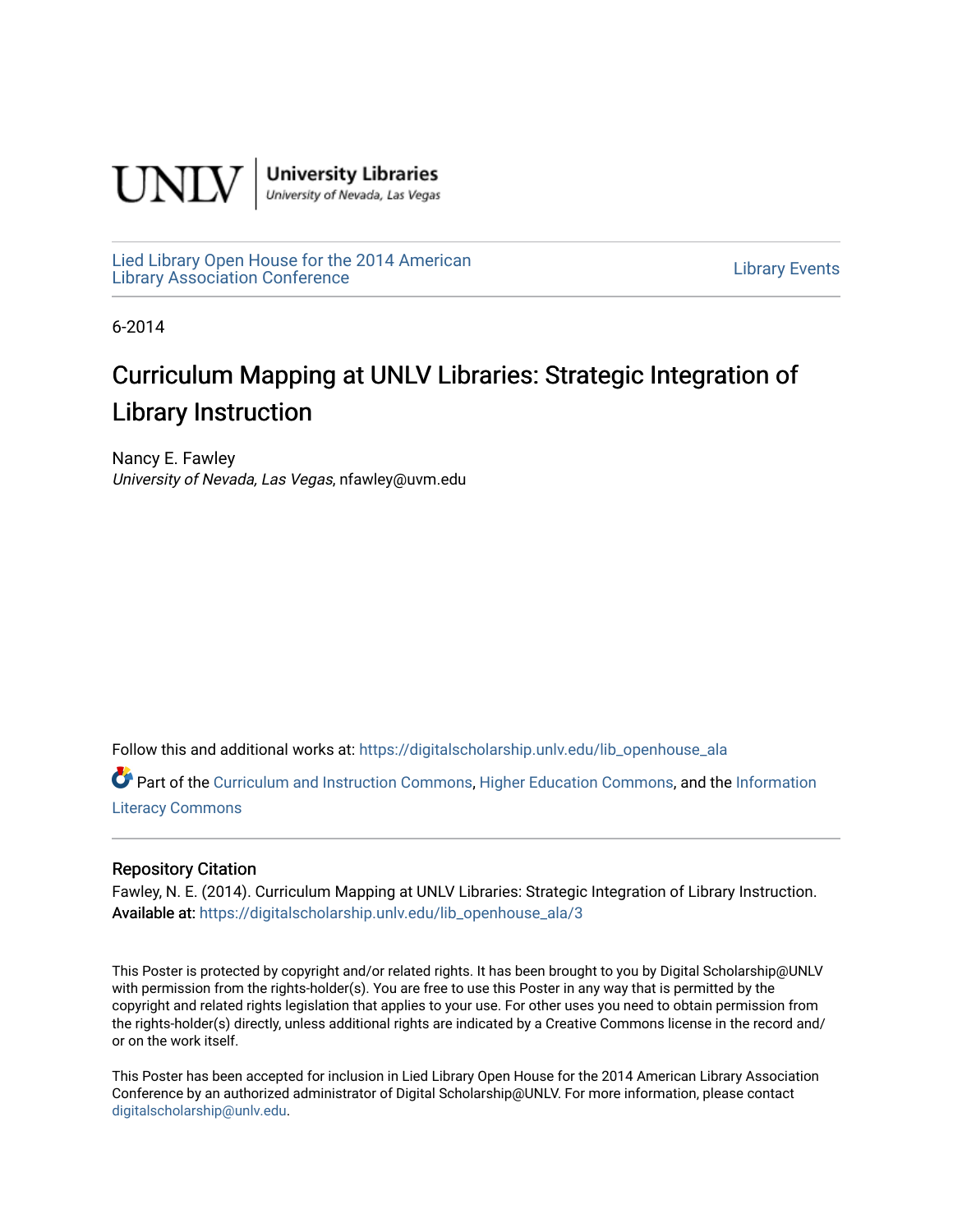

[Lied Library Open House for the 2014 American](https://digitalscholarship.unlv.edu/lib_openhouse_ala) Library Open House for the 2014 American<br>Library Association Conference

6-2014

## Curriculum Mapping at UNLV Libraries: Strategic Integration of Library Instruction

Nancy E. Fawley University of Nevada, Las Vegas, nfawley@uvm.edu

Follow this and additional works at: [https://digitalscholarship.unlv.edu/lib\\_openhouse\\_ala](https://digitalscholarship.unlv.edu/lib_openhouse_ala?utm_source=digitalscholarship.unlv.edu%2Flib_openhouse_ala%2F3&utm_medium=PDF&utm_campaign=PDFCoverPages) 

Part of the [Curriculum and Instruction Commons,](http://network.bepress.com/hgg/discipline/786?utm_source=digitalscholarship.unlv.edu%2Flib_openhouse_ala%2F3&utm_medium=PDF&utm_campaign=PDFCoverPages) [Higher Education Commons,](http://network.bepress.com/hgg/discipline/1245?utm_source=digitalscholarship.unlv.edu%2Flib_openhouse_ala%2F3&utm_medium=PDF&utm_campaign=PDFCoverPages) and the [Information](http://network.bepress.com/hgg/discipline/1243?utm_source=digitalscholarship.unlv.edu%2Flib_openhouse_ala%2F3&utm_medium=PDF&utm_campaign=PDFCoverPages)  [Literacy Commons](http://network.bepress.com/hgg/discipline/1243?utm_source=digitalscholarship.unlv.edu%2Flib_openhouse_ala%2F3&utm_medium=PDF&utm_campaign=PDFCoverPages) 

## Repository Citation

Fawley, N. E. (2014). Curriculum Mapping at UNLV Libraries: Strategic Integration of Library Instruction. Available at: [https://digitalscholarship.unlv.edu/lib\\_openhouse\\_ala/3](https://digitalscholarship.unlv.edu/lib_openhouse_ala/3) 

This Poster is protected by copyright and/or related rights. It has been brought to you by Digital Scholarship@UNLV with permission from the rights-holder(s). You are free to use this Poster in any way that is permitted by the copyright and related rights legislation that applies to your use. For other uses you need to obtain permission from the rights-holder(s) directly, unless additional rights are indicated by a Creative Commons license in the record and/ or on the work itself.

This Poster has been accepted for inclusion in Lied Library Open House for the 2014 American Library Association Conference by an authorized administrator of Digital Scholarship@UNLV. For more information, please contact [digitalscholarship@unlv.edu](mailto:digitalscholarship@unlv.edu).